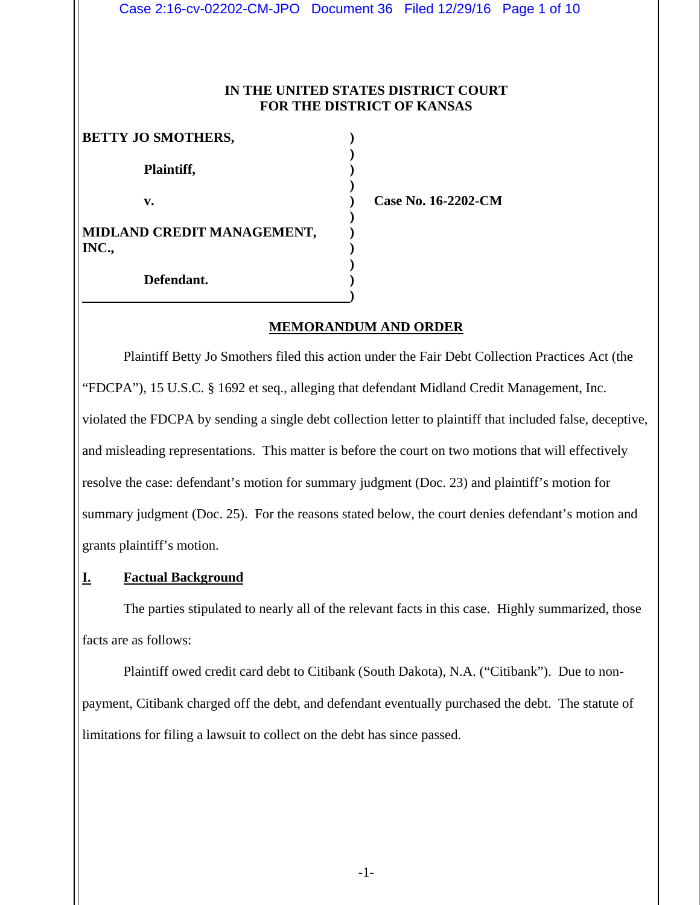Case 2:16-cv-02202-CM-JPO Document 36 Filed 12/29/16 Page 1 of 10

#### **IN THE UNITED STATES DISTRICT COURT FOR THE DISTRICT OF KANSAS**

| <b>BETTY JO SMOTHERS,</b>           |  |
|-------------------------------------|--|
| Plaintiff,                          |  |
| v.                                  |  |
| MIDLAND CREDIT MANAGEMENT,<br>INC., |  |
| Defendant.                          |  |

**Case No. 16-2202-CM** 

#### **MEMORANDUM AND ORDER**

Plaintiff Betty Jo Smothers filed this action under the Fair Debt Collection Practices Act (the "FDCPA"), 15 U.S.C. § 1692 et seq., alleging that defendant Midland Credit Management, Inc. violated the FDCPA by sending a single debt collection letter to plaintiff that included false, deceptive, and misleading representations. This matter is before the court on two motions that will effectively resolve the case: defendant's motion for summary judgment (Doc. 23) and plaintiff's motion for summary judgment (Doc. 25). For the reasons stated below, the court denies defendant's motion and grants plaintiff's motion.

#### **I. Factual Background**

 The parties stipulated to nearly all of the relevant facts in this case. Highly summarized, those facts are as follows:

 Plaintiff owed credit card debt to Citibank (South Dakota), N.A. ("Citibank"). Due to nonpayment, Citibank charged off the debt, and defendant eventually purchased the debt. The statute of limitations for filing a lawsuit to collect on the debt has since passed.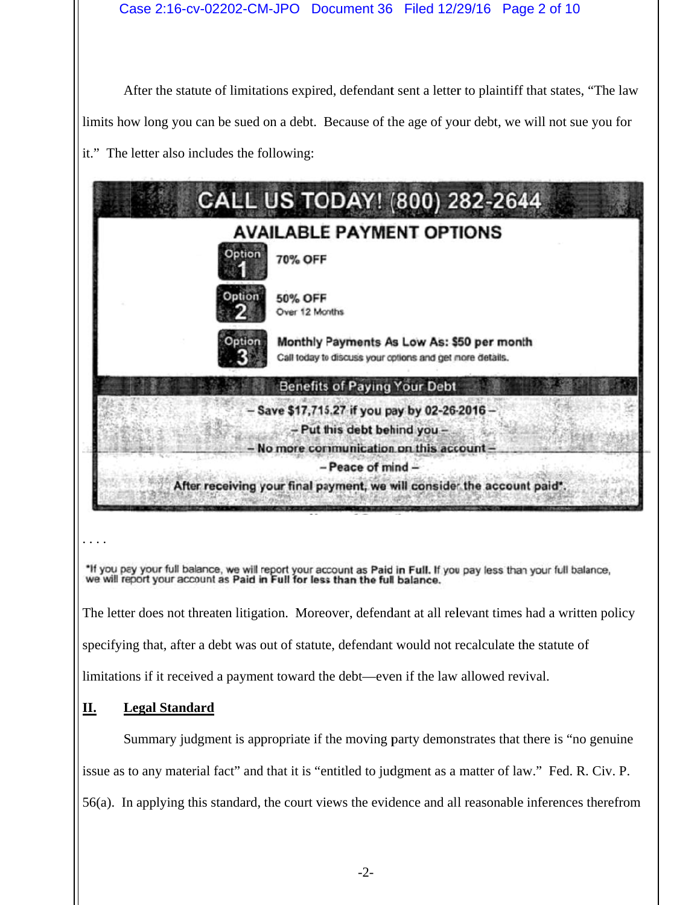After the statute of limitations expired, defendant sent a letter to plaintiff that states, "The law limits how long you can be sued on a debt. Because of the age of your debt, we will not sue you for it." The letter also includes the following:

|                                                                                                                                                                                                                              | <b>CALL US TODAY! (800) 282-2644</b>                                                                                |  |
|------------------------------------------------------------------------------------------------------------------------------------------------------------------------------------------------------------------------------|---------------------------------------------------------------------------------------------------------------------|--|
| <b>AVAILABLE PAYMENT OPTIONS</b>                                                                                                                                                                                             |                                                                                                                     |  |
| tion                                                                                                                                                                                                                         | 70% OFF                                                                                                             |  |
| Jotion                                                                                                                                                                                                                       | 50% OFF<br>Over 12 Months                                                                                           |  |
|                                                                                                                                                                                                                              | Monthly Payments As Low As: \$50 per month<br>Call today to discuss your options and get more details.              |  |
|                                                                                                                                                                                                                              | <b>Benefits of Paying Your Debt</b>                                                                                 |  |
| - Save \$17,715.27 if you pay by 02-26-2016 -<br>- Put this debt behind you -<br>No more communication on this account -<br>$-$ Peace of mind $-$<br>After receiving your final payment, we will consider the account paid*. |                                                                                                                     |  |
| we will report your account as Paid in Full for less than the full balance.                                                                                                                                                  | *If you pay your full balance, we will report your account as Paid in Full. If you pay less than your full balance, |  |
|                                                                                                                                                                                                                              | The letter does not threaten litigation. Moreover, defendant at all relevant times had a written policy             |  |

specifying that, after a debt was out of statute, defendant would not recalculate the statute of

limitations if it received a payment toward the debt—even if the law allowed revival.

#### **II. L Legal Standard**

ing that, after a debt was out of statute, defendant would not recalculate the statute of<br>
ons if it received a payment toward the debt—even if the law allowed revival.<br> **Legal Standard**<br>
Summary judgment is appropriate if issue as to any material fact" and that it is "entitled to judgment as a matter of law." Fed. R. Civ. P. 56(a). In applying this standard, the court views the evidence and all reasonable inferences therefrom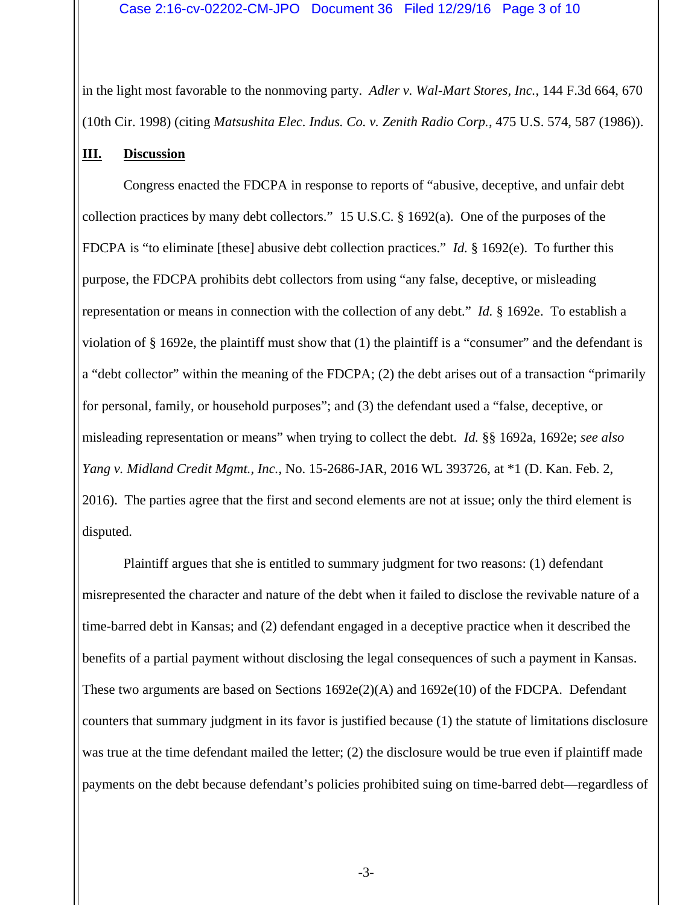#### Case 2:16-cv-02202-CM-JPO Document 36 Filed 12/29/16 Page 3 of 10

in the light most favorable to the nonmoving party. *Adler v. Wal-Mart Stores, Inc.*, 144 F.3d 664, 670 (10th Cir. 1998) (citing *Matsushita Elec. Indus. Co. v. Zenith Radio Corp.*, 475 U.S. 574, 587 (1986)).

#### **III. Discussion**

Congress enacted the FDCPA in response to reports of "abusive, deceptive, and unfair debt collection practices by many debt collectors." 15 U.S.C. § 1692(a). One of the purposes of the FDCPA is "to eliminate [these] abusive debt collection practices." *Id.* § 1692(e). To further this purpose, the FDCPA prohibits debt collectors from using "any false, deceptive, or misleading representation or means in connection with the collection of any debt." *Id.* § 1692e. To establish a violation of § 1692e, the plaintiff must show that (1) the plaintiff is a "consumer" and the defendant is a "debt collector" within the meaning of the FDCPA; (2) the debt arises out of a transaction "primarily for personal, family, or household purposes"; and (3) the defendant used a "false, deceptive, or misleading representation or means" when trying to collect the debt. *Id.* §§ 1692a, 1692e; *see also Yang v. Midland Credit Mgmt., Inc.*, No. 15-2686-JAR, 2016 WL 393726, at \*1 (D. Kan. Feb. 2, 2016). The parties agree that the first and second elements are not at issue; only the third element is disputed.

Plaintiff argues that she is entitled to summary judgment for two reasons: (1) defendant misrepresented the character and nature of the debt when it failed to disclose the revivable nature of a time-barred debt in Kansas; and (2) defendant engaged in a deceptive practice when it described the benefits of a partial payment without disclosing the legal consequences of such a payment in Kansas. These two arguments are based on Sections  $1692e(2)$ (A) and  $1692e(10)$  of the FDCPA. Defendant counters that summary judgment in its favor is justified because (1) the statute of limitations disclosure was true at the time defendant mailed the letter; (2) the disclosure would be true even if plaintiff made payments on the debt because defendant's policies prohibited suing on time-barred debt—regardless of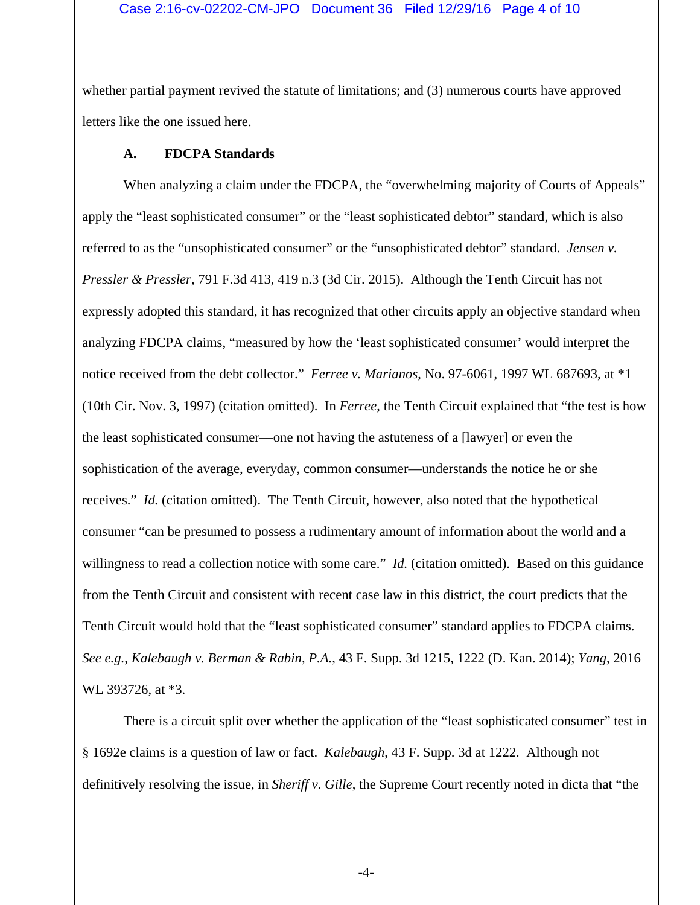#### Case 2:16-cv-02202-CM-JPO Document 36 Filed 12/29/16 Page 4 of 10

whether partial payment revived the statute of limitations; and (3) numerous courts have approved letters like the one issued here.

#### **A. FDCPA Standards**

When analyzing a claim under the FDCPA, the "overwhelming majority of Courts of Appeals" apply the "least sophisticated consumer" or the "least sophisticated debtor" standard, which is also referred to as the "unsophisticated consumer" or the "unsophisticated debtor" standard. *Jensen v. Pressler & Pressler*, 791 F.3d 413, 419 n.3 (3d Cir. 2015). Although the Tenth Circuit has not expressly adopted this standard, it has recognized that other circuits apply an objective standard when analyzing FDCPA claims, "measured by how the 'least sophisticated consumer' would interpret the notice received from the debt collector." *Ferree v. Marianos*, No. 97-6061, 1997 WL 687693, at \*1 (10th Cir. Nov. 3, 1997) (citation omitted). In *Ferree*, the Tenth Circuit explained that "the test is how the least sophisticated consumer––one not having the astuteness of a [lawyer] or even the sophistication of the average, everyday, common consumer––understands the notice he or she receives." *Id.* (citation omitted). The Tenth Circuit, however, also noted that the hypothetical consumer "can be presumed to possess a rudimentary amount of information about the world and a willingness to read a collection notice with some care." *Id.* (citation omitted). Based on this guidance from the Tenth Circuit and consistent with recent case law in this district, the court predicts that the Tenth Circuit would hold that the "least sophisticated consumer" standard applies to FDCPA claims. *See e.g.*, *Kalebaugh v. Berman & Rabin, P.A.*, 43 F. Supp. 3d 1215, 1222 (D. Kan. 2014); *Yang*, 2016 WL 393726, at \*3.

There is a circuit split over whether the application of the "least sophisticated consumer" test in § 1692e claims is a question of law or fact. *Kalebaugh*, 43 F. Supp. 3d at 1222. Although not definitively resolving the issue, in *Sheriff v. Gille*, the Supreme Court recently noted in dicta that "the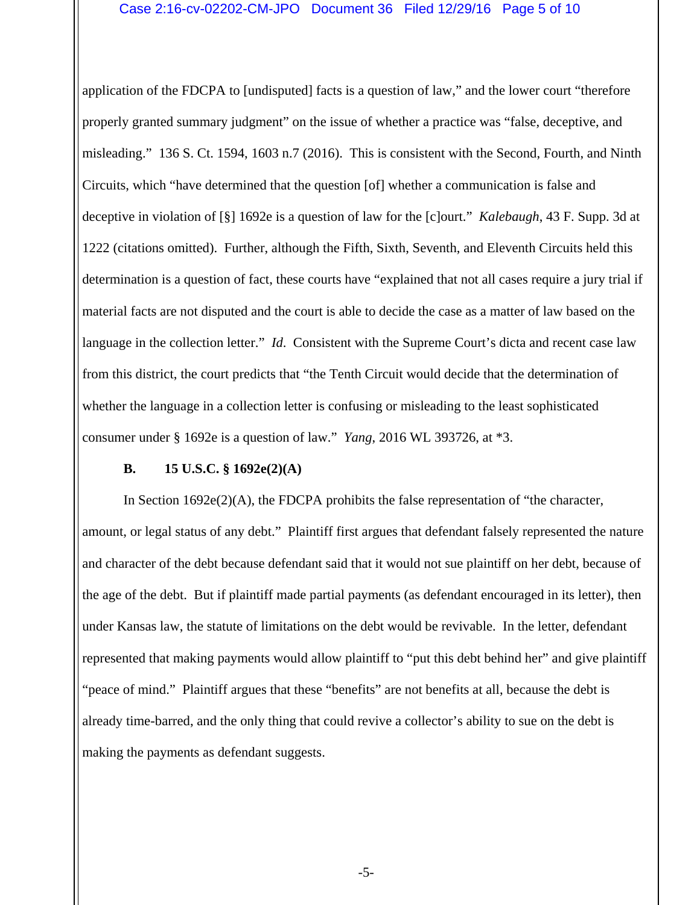#### Case 2:16-cv-02202-CM-JPO Document 36 Filed 12/29/16 Page 5 of 10

application of the FDCPA to [undisputed] facts is a question of law," and the lower court "therefore properly granted summary judgment" on the issue of whether a practice was "false, deceptive, and misleading." 136 S. Ct. 1594, 1603 n.7 (2016). This is consistent with the Second, Fourth, and Ninth Circuits, which "have determined that the question [of] whether a communication is false and deceptive in violation of [§] 1692e is a question of law for the [c]ourt." *Kalebaugh*, 43 F. Supp. 3d at 1222 (citations omitted). Further, although the Fifth, Sixth, Seventh, and Eleventh Circuits held this determination is a question of fact, these courts have "explained that not all cases require a jury trial if material facts are not disputed and the court is able to decide the case as a matter of law based on the language in the collection letter." *Id*. Consistent with the Supreme Court's dicta and recent case law from this district, the court predicts that "the Tenth Circuit would decide that the determination of whether the language in a collection letter is confusing or misleading to the least sophisticated consumer under § 1692e is a question of law." *Yang*, 2016 WL 393726, at \*3.

### **B. 15 U.S.C. § 1692e(2)(A)**

In Section  $1692e(2)$ (A), the FDCPA prohibits the false representation of "the character, amount, or legal status of any debt." Plaintiff first argues that defendant falsely represented the nature and character of the debt because defendant said that it would not sue plaintiff on her debt, because of the age of the debt. But if plaintiff made partial payments (as defendant encouraged in its letter), then under Kansas law, the statute of limitations on the debt would be revivable. In the letter, defendant represented that making payments would allow plaintiff to "put this debt behind her" and give plaintiff "peace of mind." Plaintiff argues that these "benefits" are not benefits at all, because the debt is already time-barred, and the only thing that could revive a collector's ability to sue on the debt is making the payments as defendant suggests.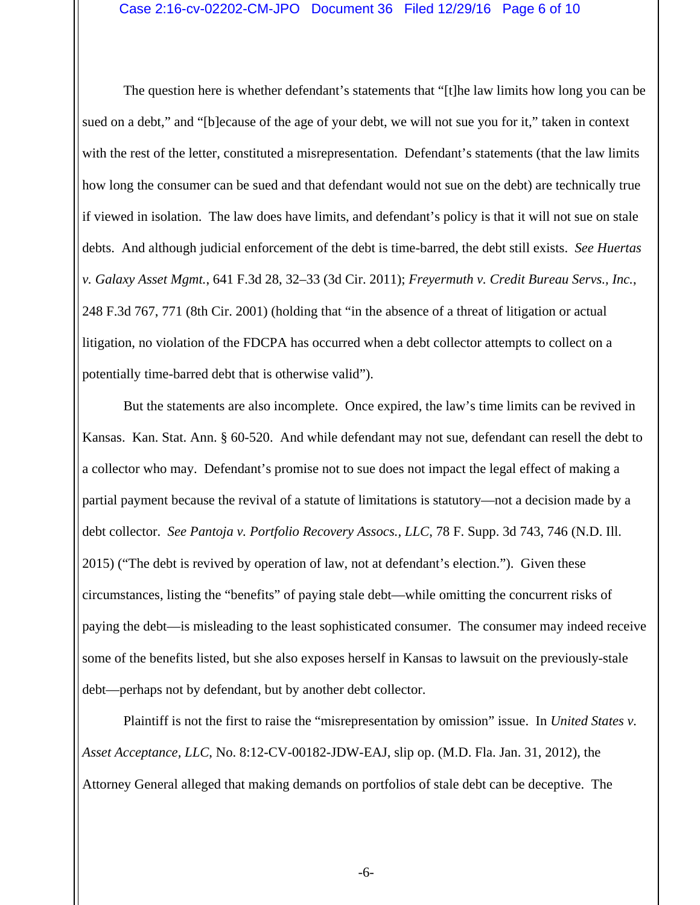The question here is whether defendant's statements that "[t]he law limits how long you can be sued on a debt," and "[b]ecause of the age of your debt, we will not sue you for it," taken in context with the rest of the letter, constituted a misrepresentation. Defendant's statements (that the law limits how long the consumer can be sued and that defendant would not sue on the debt) are technically true if viewed in isolation. The law does have limits, and defendant's policy is that it will not sue on stale debts. And although judicial enforcement of the debt is time-barred, the debt still exists. *See Huertas v. Galaxy Asset Mgmt.*, 641 F.3d 28, 32–33 (3d Cir. 2011); *Freyermuth v. Credit Bureau Servs., Inc.*, 248 F.3d 767, 771 (8th Cir. 2001) (holding that "in the absence of a threat of litigation or actual litigation, no violation of the FDCPA has occurred when a debt collector attempts to collect on a potentially time-barred debt that is otherwise valid").

But the statements are also incomplete. Once expired, the law's time limits can be revived in Kansas. Kan. Stat. Ann. § 60-520. And while defendant may not sue, defendant can resell the debt to a collector who may. Defendant's promise not to sue does not impact the legal effect of making a partial payment because the revival of a statute of limitations is statutory—not a decision made by a debt collector. *See Pantoja v. Portfolio Recovery Assocs., LLC*, 78 F. Supp. 3d 743, 746 (N.D. Ill. 2015) ("The debt is revived by operation of law, not at defendant's election."). Given these circumstances, listing the "benefits" of paying stale debt—while omitting the concurrent risks of paying the debt—is misleading to the least sophisticated consumer. The consumer may indeed receive some of the benefits listed, but she also exposes herself in Kansas to lawsuit on the previously-stale debt—perhaps not by defendant, but by another debt collector.

Plaintiff is not the first to raise the "misrepresentation by omission" issue. In *United States v. Asset Acceptance, LLC*, No. 8:12-CV-00182-JDW-EAJ, slip op. (M.D. Fla. Jan. 31, 2012), the Attorney General alleged that making demands on portfolios of stale debt can be deceptive. The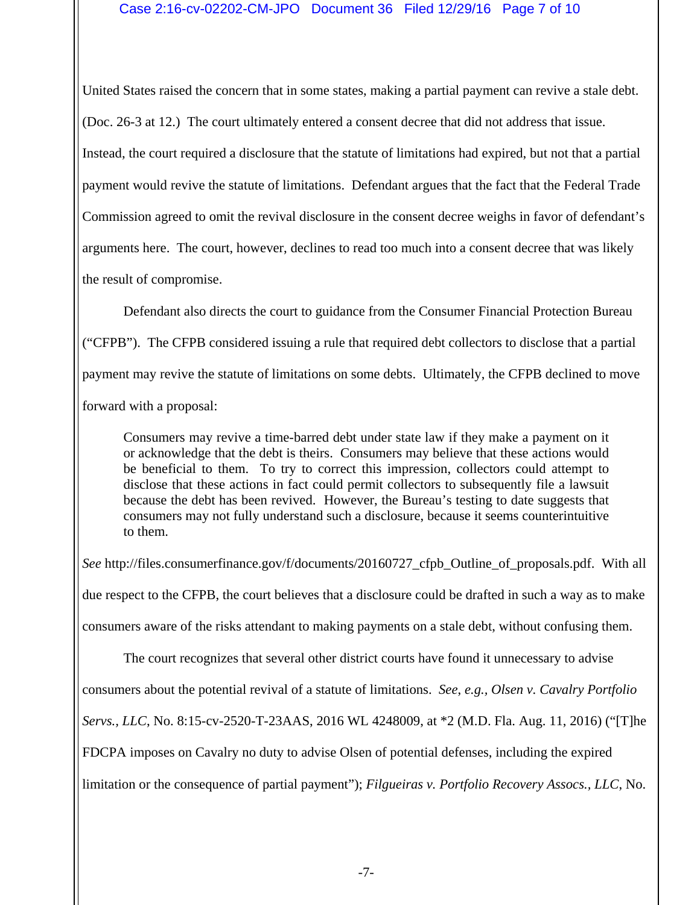#### Case 2:16-cv-02202-CM-JPO Document 36 Filed 12/29/16 Page 7 of 10

United States raised the concern that in some states, making a partial payment can revive a stale debt. (Doc. 26-3 at 12.) The court ultimately entered a consent decree that did not address that issue. Instead, the court required a disclosure that the statute of limitations had expired, but not that a partial payment would revive the statute of limitations. Defendant argues that the fact that the Federal Trade Commission agreed to omit the revival disclosure in the consent decree weighs in favor of defendant's arguments here. The court, however, declines to read too much into a consent decree that was likely the result of compromise.

Defendant also directs the court to guidance from the Consumer Financial Protection Bureau ("CFPB"). The CFPB considered issuing a rule that required debt collectors to disclose that a partial payment may revive the statute of limitations on some debts. Ultimately, the CFPB declined to move forward with a proposal:

Consumers may revive a time-barred debt under state law if they make a payment on it or acknowledge that the debt is theirs. Consumers may believe that these actions would be beneficial to them. To try to correct this impression, collectors could attempt to disclose that these actions in fact could permit collectors to subsequently file a lawsuit because the debt has been revived. However, the Bureau's testing to date suggests that consumers may not fully understand such a disclosure, because it seems counterintuitive to them.

*See* http://files.consumerfinance.gov/f/documents/20160727\_cfpb\_Outline\_of\_proposals.pdf. With all due respect to the CFPB, the court believes that a disclosure could be drafted in such a way as to make consumers aware of the risks attendant to making payments on a stale debt, without confusing them. The court recognizes that several other district courts have found it unnecessary to advise

consumers about the potential revival of a statute of limitations. *See*, *e.g., Olsen v. Cavalry Portfolio* 

*Servs., LLC*, No. 8:15-cv-2520-T-23AAS, 2016 WL 4248009, at \*2 (M.D. Fla. Aug. 11, 2016) ("[T]he

FDCPA imposes on Cavalry no duty to advise Olsen of potential defenses, including the expired

limitation or the consequence of partial payment"); *Filgueiras v. Portfolio Recovery Assocs., LLC*, No.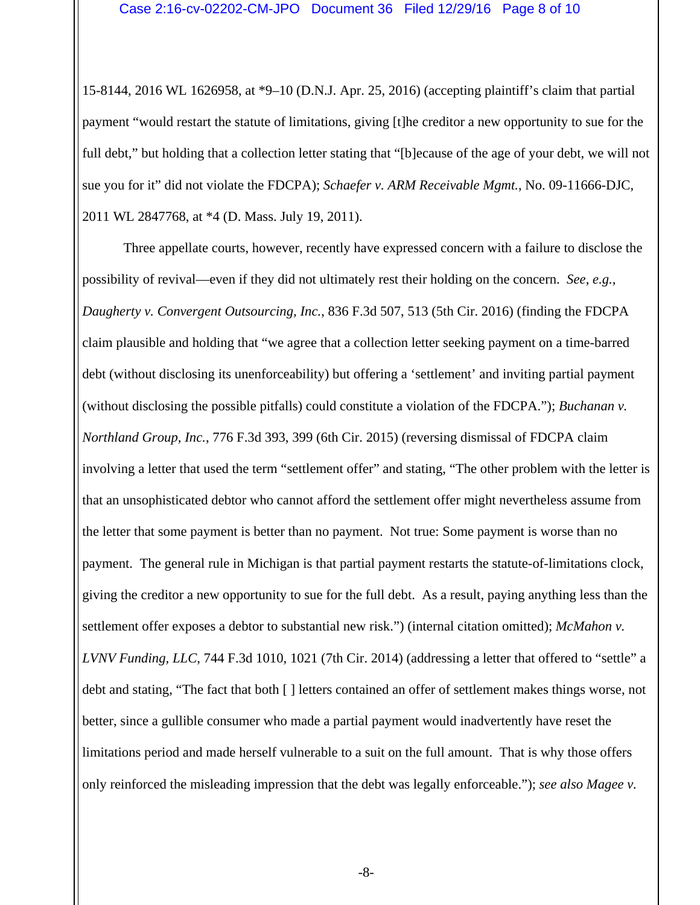15-8144, 2016 WL 1626958, at \*9–10 (D.N.J. Apr. 25, 2016) (accepting plaintiff's claim that partial payment "would restart the statute of limitations, giving [t]he creditor a new opportunity to sue for the full debt," but holding that a collection letter stating that "[b]ecause of the age of your debt, we will not sue you for it" did not violate the FDCPA); *Schaefer v. ARM Receivable Mgmt.*, No. 09-11666-DJC, 2011 WL 2847768, at \*4 (D. Mass. July 19, 2011).

 Three appellate courts, however, recently have expressed concern with a failure to disclose the possibility of revival—even if they did not ultimately rest their holding on the concern. *See*, *e.g., Daugherty v. Convergent Outsourcing, Inc.*, 836 F.3d 507, 513 (5th Cir. 2016) (finding the FDCPA claim plausible and holding that "we agree that a collection letter seeking payment on a time-barred debt (without disclosing its unenforceability) but offering a 'settlement' and inviting partial payment (without disclosing the possible pitfalls) could constitute a violation of the FDCPA."); *Buchanan v. Northland Group, Inc.*, 776 F.3d 393, 399 (6th Cir. 2015) (reversing dismissal of FDCPA claim involving a letter that used the term "settlement offer" and stating, "The other problem with the letter is that an unsophisticated debtor who cannot afford the settlement offer might nevertheless assume from the letter that some payment is better than no payment. Not true: Some payment is worse than no payment. The general rule in Michigan is that partial payment restarts the statute-of-limitations clock, giving the creditor a new opportunity to sue for the full debt. As a result, paying anything less than the settlement offer exposes a debtor to substantial new risk.") (internal citation omitted); *McMahon v. LVNV Funding, LLC*, 744 F.3d 1010, 1021 (7th Cir. 2014) (addressing a letter that offered to "settle" a debt and stating, "The fact that both [ ] letters contained an offer of settlement makes things worse, not better, since a gullible consumer who made a partial payment would inadvertently have reset the limitations period and made herself vulnerable to a suit on the full amount. That is why those offers only reinforced the misleading impression that the debt was legally enforceable."); *see also Magee v.*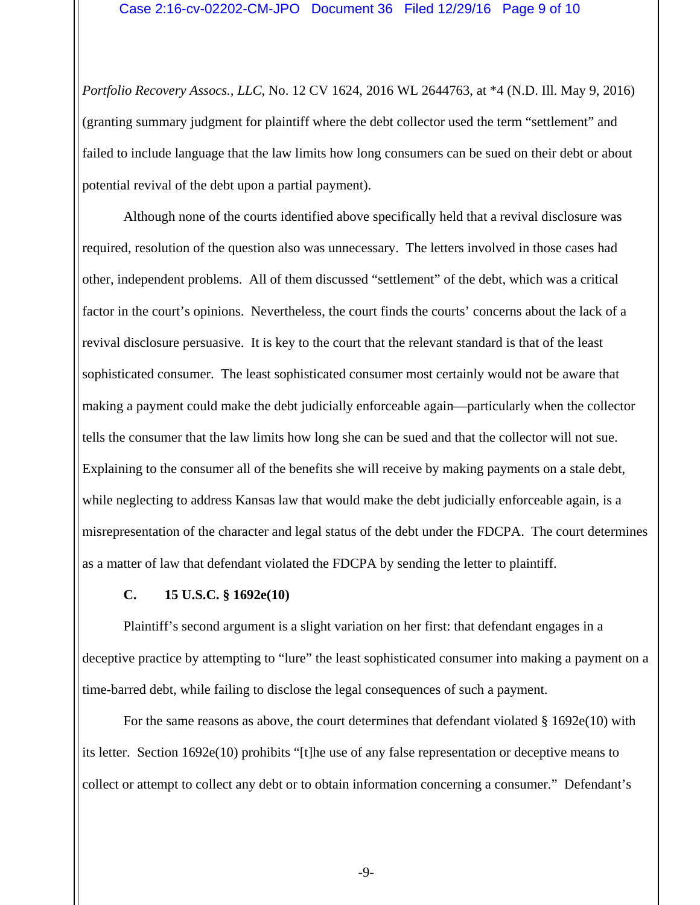*Portfolio Recovery Assocs., LLC*, No. 12 CV 1624, 2016 WL 2644763, at \*4 (N.D. Ill. May 9, 2016) (granting summary judgment for plaintiff where the debt collector used the term "settlement" and failed to include language that the law limits how long consumers can be sued on their debt or about potential revival of the debt upon a partial payment).

Although none of the courts identified above specifically held that a revival disclosure was required, resolution of the question also was unnecessary. The letters involved in those cases had other, independent problems. All of them discussed "settlement" of the debt, which was a critical factor in the court's opinions. Nevertheless, the court finds the courts' concerns about the lack of a revival disclosure persuasive. It is key to the court that the relevant standard is that of the least sophisticated consumer. The least sophisticated consumer most certainly would not be aware that making a payment could make the debt judicially enforceable again—particularly when the collector tells the consumer that the law limits how long she can be sued and that the collector will not sue. Explaining to the consumer all of the benefits she will receive by making payments on a stale debt, while neglecting to address Kansas law that would make the debt judicially enforceable again, is a misrepresentation of the character and legal status of the debt under the FDCPA. The court determines as a matter of law that defendant violated the FDCPA by sending the letter to plaintiff.

## **C. 15 U.S.C. § 1692e(10)**

Plaintiff's second argument is a slight variation on her first: that defendant engages in a deceptive practice by attempting to "lure" the least sophisticated consumer into making a payment on a time-barred debt, while failing to disclose the legal consequences of such a payment.

For the same reasons as above, the court determines that defendant violated § 1692e(10) with its letter. Section 1692e(10) prohibits "[t]he use of any false representation or deceptive means to collect or attempt to collect any debt or to obtain information concerning a consumer." Defendant's